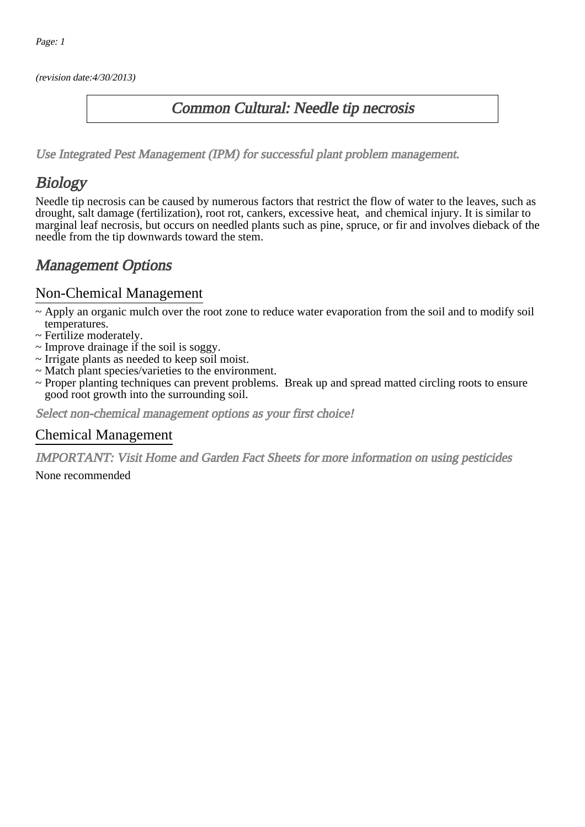(revision date:4/30/2013)

### Common Cultural: Needle tip necrosis

[Use Integrated Pest Management \(IPM\) for successful plant problem management.](http://pep.wsu.edu/Home_Garden/H_G_Pesticide_info/urban_Integrated_Pest_Managmen/)

## **Biology**

Needle tip necrosis can be caused by numerous factors that restrict the flow of water to the leaves, such as drought, salt damage (fertilization), root rot, cankers, excessive heat, and chemical injury. It is similar to marginal leaf necrosis, but occurs on needled plants such as pine, spruce, or fir and involves dieback of the needle from the tip downwards toward the stem.

## Management Options

#### Non-Chemical Management

- ~ Apply an organic mulch over the root zone to reduce water evaporation from the soil and to modify soil temperatures.
- ~ Fertilize moderately.
- ~ Improve drainage if the soil is soggy.
- ~ Irrigate plants as needed to keep soil moist.
- ~ Match plant species/varieties to the environment.
- ~ Proper planting techniques can prevent problems. Break up and spread matted circling roots to ensure good root growth into the surrounding soil.

Select non-chemical management options as your first choice!

#### Chemical Management

IMPORTANT: [Visit Home and Garden Fact Sheets for more information on using pesticides](http://pep.wsu.edu/Home_Garden/H_G_Pesticide_info/)

None recommended